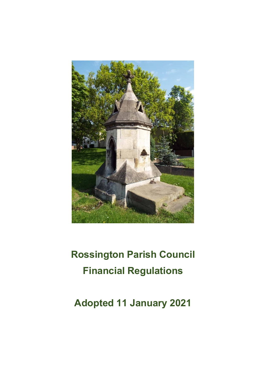

# **Rossington Parish Council Financial Regulations**

**Adopted 11 January 2021**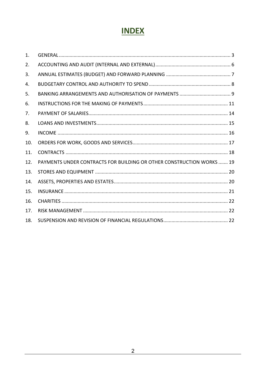# **INDEX**

| $\mathbf{1}$ . |                                                                             |
|----------------|-----------------------------------------------------------------------------|
| 2.             |                                                                             |
| 3.             |                                                                             |
| 4.             |                                                                             |
| 5.             |                                                                             |
| 6.             |                                                                             |
| 7.             |                                                                             |
| 8.             |                                                                             |
| 9.             |                                                                             |
| 10.            |                                                                             |
| 11.            |                                                                             |
| 12.            | <b>PAYMENTS UNDER CONTRACTS FOR BUILDING OR OTHER CONSTRUCTION WORKS 19</b> |
| 13.            |                                                                             |
| 14.            |                                                                             |
| 15.            |                                                                             |
| 16.            |                                                                             |
| 17.            |                                                                             |
| 18.            |                                                                             |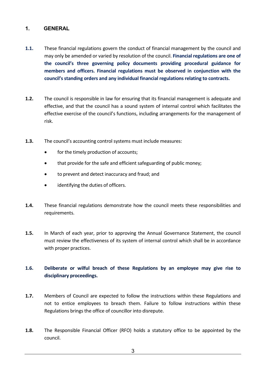#### <span id="page-2-0"></span>**1. GENERAL**

- **1.1.** These financial regulations govern the conduct of financial management by the council and may only be amended or varied by resolution of the council. **Financial regulations are one of the council's three governing policy documents providing procedural guidance for members and officers. Financial regulations must be observed in conjunction with the council's standing orders and any individual financial regulations relating to contracts.**
- **1.2.** The council is responsible in law for ensuring that its financial management is adequate and effective, and that the council has a sound system of internal control which facilitates the effective exercise of the council's functions, including arrangements for the management of risk.
- **1.3.** The council's accounting control systems must include measures:
	- for the timely production of accounts;
	- that provide for the safe and efficient safeguarding of public money;
	- to prevent and detect inaccuracy and fraud; and
	- identifying the duties of officers.
- **1.4.** These financial regulations demonstrate how the council meets these responsibilities and requirements.
- **1.5.** In March of each year, prior to approving the Annual Governance Statement, the council must review the effectiveness of its system of internal control which shall be in accordance with proper practices.

#### **1.6. Deliberate or wilful breach of these Regulations by an employee may give rise to disciplinary proceedings.**

- **1.7.** Members of Council are expected to follow the instructions within these Regulations and not to entice employees to breach them. Failure to follow instructions within these Regulations brings the office of councillor into disrepute.
- **1.8.** The Responsible Financial Officer (RFO) holds a statutory office to be appointed by the council.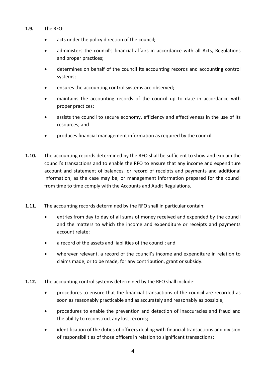- **1.9.** The RFO:
	- acts under the policy direction of the council;
	- administers the council's financial affairs in accordance with all Acts, Regulations and proper practices;
	- determines on behalf of the council its accounting records and accounting control systems;
	- ensures the accounting control systems are observed;
	- maintains the accounting records of the council up to date in accordance with proper practices;
	- assists the council to secure economy, efficiency and effectiveness in the use of its resources; and
	- produces financial management information as required by the council.
- **1.10.** The accounting records determined by the RFO shall be sufficient to show and explain the council's transactions and to enable the RFO to ensure that any income and expenditure account and statement of balances, or record of receipts and payments and additional information, as the case may be, or management information prepared for the council from time to time comply with the Accounts and Audit Regulations.
- **1.11.** The accounting records determined by the RFO shall in particular contain:
	- entries from day to day of all sums of money received and expended by the council and the matters to which the income and expenditure or receipts and payments account relate;
	- a record of the assets and liabilities of the council; and
	- wherever relevant, a record of the council's income and expenditure in relation to claims made, or to be made, for any contribution, grant or subsidy.
- **1.12.** The accounting control systems determined by the RFO shall include:
	- procedures to ensure that the financial transactions of the council are recorded as soon as reasonably practicable and as accurately and reasonably as possible;
	- procedures to enable the prevention and detection of inaccuracies and fraud and the ability to reconstruct any lost records;
	- identification of the duties of officers dealing with financial transactions and division of responsibilities of those officers in relation to significant transactions;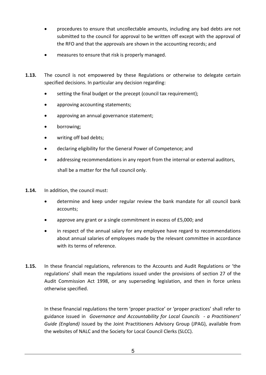- procedures to ensure that uncollectable amounts, including any bad debts are not submitted to the council for approval to be written off except with the approval of the RFO and that the approvals are shown in the accounting records; and
- measures to ensure that risk is properly managed.
- **1.13.** The council is not empowered by these Regulations or otherwise to delegate certain specified decisions. In particular any decision regarding:
	- setting the final budget or the precept (council tax requirement);
	- approving accounting statements;
	- approving an annual governance statement;
	- borrowing;
	- writing off bad debts;
	- declaring eligibility for the General Power of Competence; and
	- addressing recommendations in any report from the internal or external auditors, shall be a matter for the full council only.
- **1.14.** In addition, the council must:
	- determine and keep under regular review the bank mandate for all council bank accounts;
	- approve any grant or a single commitment in excess of £5,000; and
	- in respect of the annual salary for any employee have regard to recommendations about annual salaries of employees made by the relevant committee in accordance with its terms of reference.
- **1.15.** In these financial regulations, references to the Accounts and Audit Regulations or 'the regulations' shall mean the regulations issued under the provisions of section 27 of the Audit Commission Act 1998, or any superseding legislation, and then in force unless otherwise specified.

In these financial regulations the term 'proper practice' or 'proper practices' shall refer to guidance issued in *Governance and Accountability for Local Councils - a Practitioners' Guide (England)* issued by the Joint Practitioners Advisory Group (JPAG), available from the websites of NALC and the Society for Local Council Clerks (SLCC).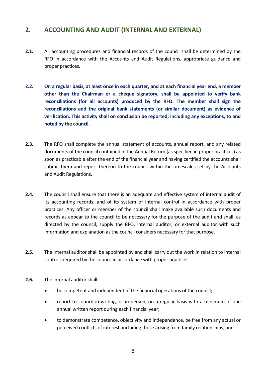# <span id="page-5-0"></span>**2. ACCOUNTING AND AUDIT (INTERNAL AND EXTERNAL)**

- **2.1.** All accounting procedures and financial records of the council shall be determined by the RFO in accordance with the Accounts and Audit Regulations, appropriate guidance and proper practices.
- **2.2. On a regular basis, at least once in each quarter, and at each financial year end, a member other than the Chairman or a cheque signatory, shall be appointed to verify bank reconciliations (for all accounts) produced by the RFO. The member shall sign the reconciliations and the original bank statements (or similar document) as evidence of verification. This activity shall on conclusion be reported, including any exceptions, to and noted by the council.**
- **2.3.** The RFO shall complete the annual statement of accounts, annual report, and any related documents of the council contained in the Annual Return (as specified in proper practices) as soon as practicable after the end of the financial year and having certified the accounts shall submit them and report thereon to the council within the timescales set by the Accounts and Audit Regulations.
- **2.4.** The council shall ensure that there is an adequate and effective system of internal audit of its accounting records, and of its system of internal control in accordance with proper practices. Any officer or member of the council shall make available such documents and records as appear to the council to be necessary for the purpose of the audit and shall, as directed by the council, supply the RFO, internal auditor, or external auditor with such information and explanation as the council considers necessary for that purpose.
- **2.5.** The internal auditor shall be appointed by and shall carry out the work in relation to internal controls required by the council in accordance with proper practices.
- **2.6.** The internal auditor shall:
	- be competent and independent of the financial operations of the council;
	- report to council in writing, or in person, on a regular basis with a minimum of one annual written report during each financial year;
	- to demonstrate competence, objectivity and independence, be free from any actual or perceived conflicts of interest, including those arising from family relationships; and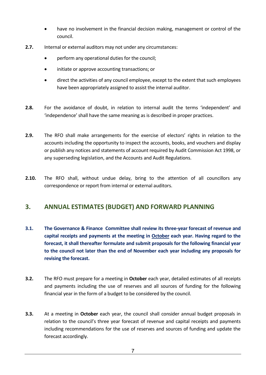- have no involvement in the financial decision making, management or control of the council.
- **2.7.** Internal or external auditors may not under any circumstances:
	- perform any operational duties for the council;
	- initiate or approve accounting transactions; or
	- direct the activities of any council employee, except to the extent that such employees have been appropriately assigned to assist the internal auditor.
- **2.8.** For the avoidance of doubt, in relation to internal audit the terms 'independent' and 'independence' shall have the same meaning as is described in proper practices.
- **2.9.** The RFO shall make arrangements for the exercise of electors' rights in relation to the accounts including the opportunity to inspect the accounts, books, and vouchers and display or publish any notices and statements of account required by Audit Commission Act 1998, or any superseding legislation, and the Accounts and Audit Regulations.
- **2.10.** The RFO shall, without undue delay, bring to the attention of all councillors any correspondence or report from internal or external auditors.

#### <span id="page-6-0"></span>**3. ANNUAL ESTIMATES (BUDGET) AND FORWARD PLANNING**

- **3.1. The Governance & Finance Committee shall review its three-year forecast of revenue and capital receipts and payments at the meeting in October each year. Having regard to the forecast, it shall thereafter formulate and submit proposals for the following financial year to the council not later than the end of November each year including any proposals for revising the forecast.**
- **3.2.** The RFO must prepare for a meeting in **October** each year, detailed estimates of all receipts and payments including the use of reserves and all sources of funding for the following financial year in the form of a budget to be considered by the council.
- **3.3.** At a meeting in **October** each year, the council shall consider annual budget proposals in relation to the council's three year forecast of revenue and capital receipts and payments including recommendations for the use of reserves and sources of funding and update the forecast accordingly.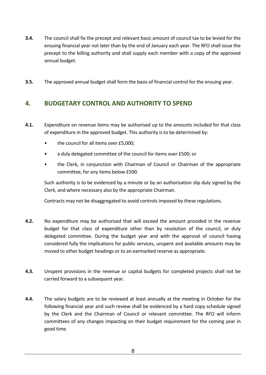- **3.4.** The council shall fix the precept and relevant basic amount of council tax to be levied for the ensuing financial year not later than by the end of January each year. The RFO shall issue the precept to the billing authority and shall supply each member with a copy of the approved annual budget.
- **3.5.** The approved annual budget shall form the basis of financial control for the ensuing year.

# <span id="page-7-0"></span>**4. BUDGETARY CONTROL AND AUTHORITY TO SPEND**

- **4.1.** Expenditure on revenue items may be authorised up to the amounts included for that class of expenditure in the approved budget. This authority is to be determined by:
	- the council for all items over £5,000;
	- a duly delegated committee of the council for items over £500; or
	- the Clerk, in conjunction with Chairman of Council or Chairman of the appropriate committee, for any items below £500.

Such authority is to be evidenced by a minute or by an authorisation slip duly signed by the Clerk, and where necessary also by the appropriate Chairman.

Contracts may not be disaggregated to avoid controls imposed by these regulations.

- **4.2.** No expenditure may be authorised that will exceed the amount provided in the revenue budget for that class of expenditure other than by resolution of the council, or duly delegated committee. During the budget year and with the approval of council having considered fully the implications for public services, unspent and available amounts may be moved to other budget headings or to an earmarked reserve as appropriate.
- **4.3.** Unspent provisions in the revenue or capital budgets for completed projects shall not be carried forward to a subsequent year.
- **4.4.** The salary budgets are to be reviewed at least annually at the meeting in October for the following financial year and such review shall be evidenced by a hard copy schedule signed by the Clerk and the Chairman of Council or relevant committee. The RFO will inform committees of any changes impacting on their budget requirement for the coming year in good time.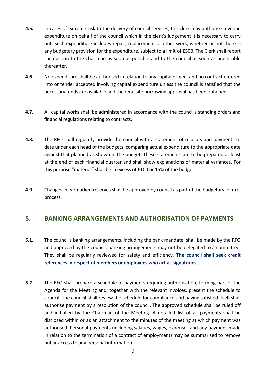- **4.5.** In cases of extreme risk to the delivery of council services, the clerk may authorise revenue expenditure on behalf of the council which in the clerk's judgement it is necessary to carry out. Such expenditure includes repair, replacement or other work, whether or not there is any budgetary provision for the expenditure, subject to a limit of £500. The Clerk shall report such action to the chairman as soon as possible and to the council as soon as practicable thereafter.
- **4.6.** No expenditure shall be authorised in relation to any capital project and no contract entered into or tender accepted involving capital expenditure unless the council is satisfied that the necessary funds are available and the requisite borrowing approval has been obtained.
- **4.7.** All capital works shall be administered in accordance with the council's standing orders and financial regulations relating to contracts.
- **4.8.** The RFO shall regularly provide the council with a statement of receipts and payments to date under each head of the budgets, comparing actual expenditure to the appropriate date against that planned as shown in the budget. These statements are to be prepared at least at the end of each financial quarter and shall show explanations of material variances. For this purpose "material" shall be in excess of £100 or 15% of the budget.
- **4.9.** Changes in earmarked reserves shall be approved by council as part of the budgetary control process.

#### <span id="page-8-0"></span>**5. BANKING ARRANGEMENTS AND AUTHORISATION OF PAYMENTS**

- **5.1.** The council's banking arrangements, including the bank mandate, shall be made by the RFO and approved by the council; banking arrangements may not be delegated to a committee. They shall be regularly reviewed for safety and efficiency. **The council shall seek credit references in respect of members or employees who act as signatories.**
- **5.2.** The RFO shall prepare a schedule of payments requiring authorisation, forming part of the Agenda for the Meeting and, together with the relevant invoices, present the schedule to council. The council shall review the schedule for compliance and having satisfied itself shall authorise payment by a resolution of the council. The approved schedule shall be ruled off and initialled by the Chairman of the Meeting. A detailed list of all payments shall be disclosed within or as an attachment to the minutes of the meeting at which payment was authorised. Personal payments (including salaries, wages, expenses and any payment made in relation to the termination of a contract of employment) may be summarised to remove public access to any personal information.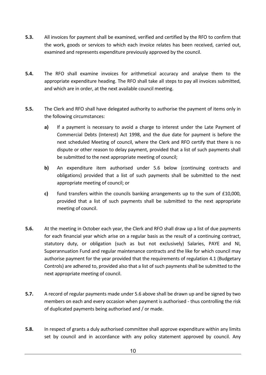- **5.3.** All invoices for payment shall be examined, verified and certified by the RFO to confirm that the work, goods or services to which each invoice relates has been received, carried out, examined and represents expenditure previously approved by the council.
- **5.4.** The RFO shall examine invoices for arithmetical accuracy and analyse them to the appropriate expenditure heading. The RFO shall take all steps to pay all invoices submitted, and which are in order, at the next available council meeting.
- **5.5.** The Clerk and RFO shall have delegated authority to authorise the payment of items only in the following circumstances:
	- **a)** If a payment is necessary to avoid a charge to interest under the Late Payment of Commercial Debts (Interest) Act 1998, and the due date for payment is before the next scheduled Meeting of council, where the Clerk and RFO certify that there is no dispute or other reason to delay payment, provided that a list of such payments shall be submitted to the next appropriate meeting of council;
	- **b)** An expenditure item authorised under 5.6 below (continuing contracts and obligations) provided that a list of such payments shall be submitted to the next appropriate meeting of council; or
	- **c)** fund transfers within the councils banking arrangements up to the sum of £10,000, provided that a list of such payments shall be submitted to the next appropriate meeting of council.
- **5.6.** At the meeting in October each year, the Clerk and RFO shall draw up a list of due payments for each financial year which arise on a regular basis as the result of a continuing contract, statutory duty, or obligation (such as but not exclusively) Salaries, PAYE and NI, Superannuation Fund and regular maintenance contracts and the like for which council may authorise payment for the year provided that the requirements of regulation 4.1 (Budgetary Controls) are adhered to, provided also that a list of such payments shall be submitted to the next appropriate meeting of council.
- **5.7.** A record of regular payments made under 5.6 above shall be drawn up and be signed by two members on each and every occasion when payment is authorised - thus controlling the risk of duplicated payments being authorised and / or made.
- **5.8.** In respect of grants a duly authorised committee shall approve expenditure within any limits set by council and in accordance with any policy statement approved by council. Any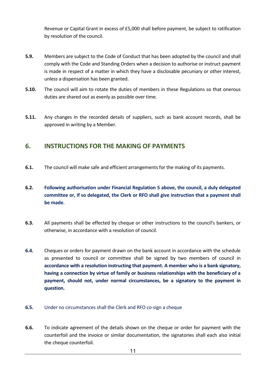Revenue or Capital Grant in excess of £5,000 shall before payment, be subject to ratification by resolution of the council.

- **5.9.** Members are subject to the Code of Conduct that has been adopted by the council and shall comply with the Code and Standing Orders when a decision to authorise or instruct payment is made in respect of a matter in which they have a disclosable pecuniary or other interest, unless a dispensation has been granted.
- **5.10.** The council will aim to rotate the duties of members in these Regulations so that onerous duties are shared out as evenly as possible over time.
- **5.11.** Any changes in the recorded details of suppliers, such as bank account records, shall be approved in writing by a Member.

# <span id="page-10-0"></span>**6. INSTRUCTIONS FOR THE MAKING OF PAYMENTS**

- **6.1.** The council will make safe and efficient arrangements for the making of its payments.
- **6.2. Following authorisation under Financial Regulation 5 above, the council, a duly delegated committee or, if so delegated, the Clerk or RFO shall give instruction that a payment shall be made**.
- **6.3.** All payments shall be effected by cheque or other instructions to the council's bankers, or otherwise, in accordance with a resolution of council.
- **6.4.** Cheques or orders for payment drawn on the bank account in accordance with the schedule as presented to council or committee shall be signed by two members of council in **accordance with a resolution instructing that payment. A member who is a bank signatory, having a connection by virtue of family or business relationships with the beneficiary of a payment, should not, under normal circumstances, be a signatory to the payment in question.**
- **6.5.** Under no circumstances shall the Clerk and RFO co-sign a cheque
- **6.6.** To indicate agreement of the details shown on the cheque or order for payment with the counterfoil and the invoice or similar documentation, the signatories shall each also initial the cheque counterfoil.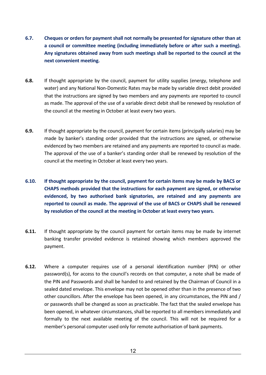- **6.7. Cheques or orders for payment shall not normally be presented for signature other than at a council or committee meeting (including immediately before or after such a meeting). Any signatures obtained away from such meetings shall be reported to the council at the next convenient meeting.**
- **6.8.** If thought appropriate by the council, payment for utility supplies (energy, telephone and water) and any National Non-Domestic Rates may be made by variable direct debit provided that the instructions are signed by two members and any payments are reported to council as made. The approval of the use of a variable direct debit shall be renewed by resolution of the council at the meeting in October at least every two years.
- **6.9.** If thought appropriate by the council, payment for certain items (principally salaries) may be made by banker's standing order provided that the instructions are signed, or otherwise evidenced by two members are retained and any payments are reported to council as made. The approval of the use of a banker's standing order shall be renewed by resolution of the council at the meeting in October at least every two years.
- **6.10. If thought appropriate by the council, payment for certain items may be made by BACS or CHAPS methods provided that the instructions for each payment are signed, or otherwise evidenced, by two authorised bank signatories, are retained and any payments are reported to council as made. The approval of the use of BACS or CHAPS shall be renewed by resolution of the council at the meeting in October at least every two years.**
- **6.11.** If thought appropriate by the council payment for certain items may be made by internet banking transfer provided evidence is retained showing which members approved the payment.
- **6.12.** Where a computer requires use of a personal identification number (PIN) or other password(s), for access to the council's records on that computer, a note shall be made of the PIN and Passwords and shall be handed to and retained by the Chairman of Council in a sealed dated envelope. This envelope may not be opened other than in the presence of two other councillors. After the envelope has been opened, in any circumstances, the PIN and / or passwords shall be changed as soon as practicable. The fact that the sealed envelope has been opened, in whatever circumstances, shall be reported to all members immediately and formally to the next available meeting of the council. This will not be required for a member's personal computer used only for remote authorisation of bank payments.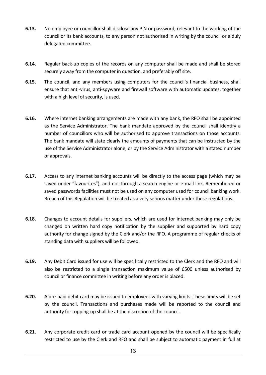- **6.13.** No employee or councillor shall disclose any PIN or password, relevant to the working of the council or its bank accounts, to any person not authorised in writing by the council or a duly delegated committee.
- **6.14.** Regular back-up copies of the records on any computer shall be made and shall be stored securely away from the computer in question, and preferably off site.
- **6.15.** The council, and any members using computers for the council's financial business, shall ensure that anti-virus, anti-spyware and firewall software with automatic updates, together with a high level of security, is used.
- **6.16.** Where internet banking arrangements are made with any bank, the RFO shall be appointed as the Service Administrator. The bank mandate approved by the council shall identify a number of councillors who will be authorised to approve transactions on those accounts. The bank mandate will state clearly the amounts of payments that can be instructed by the use of the Service Administrator alone, or by the Service Administrator with a stated number of approvals.
- **6.17.** Access to any internet banking accounts will be directly to the access page (which may be saved under "favourites"), and not through a search engine or e-mail link. Remembered or saved passwords facilities must not be used on any computer used for council banking work. Breach of this Regulation will be treated as a very serious matter under these regulations.
- **6.18.** Changes to account details for suppliers, which are used for internet banking may only be changed on written hard copy notification by the supplier and supported by hard copy authority for change signed by the Clerk and/or the RFO. A programme of regular checks of standing data with suppliers will be followed.
- **6.19.** Any Debit Card issued for use will be specifically restricted to the Clerk and the RFO and will also be restricted to a single transaction maximum value of £500 unless authorised by council or finance committee in writing before any order is placed.
- **6.20.** A pre-paid debit card may be issued to employees with varying limits. These limits will be set by the council. Transactions and purchases made will be reported to the council and authority for topping-up shall be at the discretion of the council.
- **6.21.** Any corporate credit card or trade card account opened by the council will be specifically restricted to use by the Clerk and RFO and shall be subject to automatic payment in full at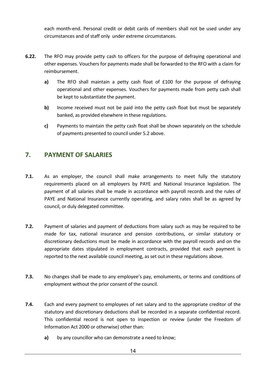each month-end. Personal credit or debit cards of members shall not be used under any circumstances and of staff only under extreme circumstances.

- **6.22.** The RFO may provide petty cash to officers for the purpose of defraying operational and other expenses. Vouchers for payments made shall be forwarded to the RFO with a claim for reimbursement.
	- **a)** The RFO shall maintain a petty cash float of £100 for the purpose of defraying operational and other expenses. Vouchers for payments made from petty cash shall be kept to substantiate the payment.
	- **b)** Income received must not be paid into the petty cash float but must be separately banked, as provided elsewhere in these regulations.
	- **c)** Payments to maintain the petty cash float shall be shown separately on the schedule of payments presented to council under 5.2 above.

# <span id="page-13-0"></span>**7. PAYMENT OF SALARIES**

- **7.1.** As an employer, the council shall make arrangements to meet fully the statutory requirements placed on all employers by PAYE and National Insurance legislation. The payment of all salaries shall be made in accordance with payroll records and the rules of PAYE and National Insurance currently operating, and salary rates shall be as agreed by council, or duly delegated committee.
- **7.2.** Payment of salaries and payment of deductions from salary such as may be required to be made for tax, national insurance and pension contributions, or similar statutory or discretionary deductions must be made in accordance with the payroll records and on the appropriate dates stipulated in employment contracts, provided that each payment is reported to the next available council meeting, as set out in these regulations above.
- **7.3.** No changes shall be made to any employee's pay, emoluments, or terms and conditions of employment without the prior consent of the council.
- **7.4.** Each and every payment to employees of net salary and to the appropriate creditor of the statutory and discretionary deductions shall be recorded in a separate confidential record. This confidential record is not open to inspection or review (under the Freedom of Information Act 2000 or otherwise) other than:
	- **a)** by any councillor who can demonstrate a need to know;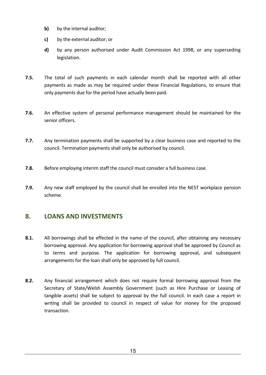- **b)** by the internal auditor;
- **c)** by the external auditor; or
- **d)** by any person authorised under Audit Commission Act 1998, or any superseding legislation.
- **7.5.** The total of such payments in each calendar month shall be reported with all other payments as made as may be required under these Financial Regulations, to ensure that only payments due for the period have actually been paid.
- **7.6.** An effective system of personal performance management should be maintained for the senior officers.
- **7.7.** Any termination payments shall be supported by a clear business case and reported to the council. Termination payments shall only be authorised by council.
- **7.8.** Before employing interim staff the council must consider a full business case.
- **7.9.** Any new staff employed by the council shall be enrolled into the NEST workplace pension scheme.

# <span id="page-14-0"></span>**8. LOANS AND INVESTMENTS**

- **8.1.** All borrowings shall be effected in the name of the council, after obtaining any necessary borrowing approval. Any application for borrowing approval shall be approved by Council as to terms and purpose. The application for borrowing approval, and subsequent arrangements for the loan shall only be approved by full council.
- **8.2.** Any financial arrangement which does not require formal borrowing approval from the Secretary of State/Welsh Assembly Government (such as Hire Purchase or Leasing of tangible assets) shall be subject to approval by the full council. In each case a report in writing shall be provided to council in respect of value for money for the proposed transaction.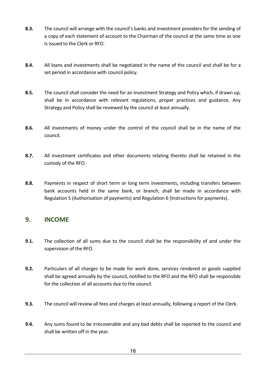- **8.3.** The council will arrange with the council's banks and investment providers for the sending of a copy of each statement of account to the Chairman of the council at the same time as one is issued to the Clerk or RFO.
- **8.4.** All loans and investments shall be negotiated in the name of the council and shall be for a set period in accordance with council policy.
- **8.5.** The council shall consider the need for an Investment Strategy and Policy which, if drawn up, shall be in accordance with relevant regulations, proper practices and guidance. Any Strategy and Policy shall be reviewed by the council at least annually.
- **8.6.** All investments of money under the control of the council shall be in the name of the council.
- **8.7.** All investment certificates and other documents relating thereto shall be retained in the custody of the RFO.
- **8.8.** Payments in respect of short term or long term investments, including transfers between bank accounts held in the same bank, or branch, shall be made in accordance with Regulation 5 (Authorisation of payments) and Regulation 6 (Instructions for payments).

#### <span id="page-15-0"></span>**9. INCOME**

- **9.1.** The collection of all sums due to the council shall be the responsibility of and under the supervision of the RFO.
- **9.2.** Particulars of all charges to be made for work done, services rendered or goods supplied shall be agreed annually by the council, notified to the RFO and the RFO shall be responsible for the collection of all accounts due to the council.
- **9.3.** The council will review all fees and charges at least annually, following a report of the Clerk.
- **9.4.** Any sums found to be irrecoverable and any bad debts shall be reported to the council and shall be written off in the year.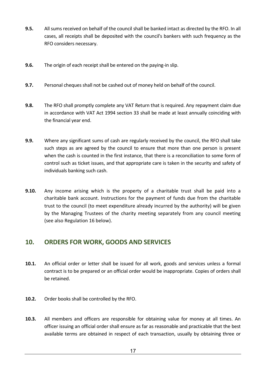- **9.5.** All sums received on behalf of the council shall be banked intact as directed by the RFO. In all cases, all receipts shall be deposited with the council's bankers with such frequency as the RFO considers necessary.
- **9.6.** The origin of each receipt shall be entered on the paying-in slip.
- **9.7.** Personal cheques shall not be cashed out of money held on behalf of the council.
- **9.8.** The RFO shall promptly complete any VAT Return that is required. Any repayment claim due in accordance with VAT Act 1994 section 33 shall be made at least annually coinciding with the financial year end.
- **9.9.** Where any significant sums of cash are regularly received by the council, the RFO shall take such steps as are agreed by the council to ensure that more than one person is present when the cash is counted in the first instance, that there is a reconciliation to some form of control such as ticket issues, and that appropriate care is taken in the security and safety of individuals banking such cash.
- **9.10.** Any income arising which is the property of a charitable trust shall be paid into a charitable bank account. Instructions for the payment of funds due from the charitable trust to the council (to meet expenditure already incurred by the authority) will be given by the Managing Trustees of the charity meeting separately from any council meeting (see also Regulation 16 below).

#### <span id="page-16-0"></span>**10. ORDERS FOR WORK, GOODS AND SERVICES**

- **10.1.** An official order or letter shall be issued for all work, goods and services unless a formal contract is to be prepared or an official order would be inappropriate. Copies of orders shall be retained.
- **10.2.** Order books shall be controlled by the RFO.
- **10.3.** All members and officers are responsible for obtaining value for money at all times. An officer issuing an official order shall ensure as far as reasonable and practicable that the best available terms are obtained in respect of each transaction, usually by obtaining three or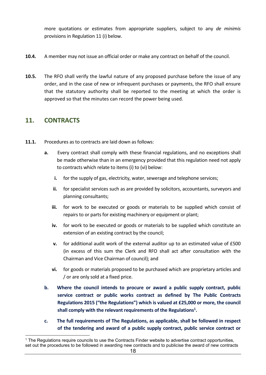more quotations or estimates from appropriate suppliers, subject to any *de minimis* provisions in Regulation 11 (i) below.

- **10.4.** A member may not issue an official order or make any contract on behalf of the council.
- **10.5.** The RFO shall verify the lawful nature of any proposed purchase before the issue of any order, and in the case of new or infrequent purchases or payments, the RFO shall ensure that the statutory authority shall be reported to the meeting at which the order is approved so that the minutes can record the power being used.

# <span id="page-17-0"></span>**11. CONTRACTS**

- **11.1.** Procedures as to contracts are laid down as follows:
	- **a.** Every contract shall comply with these financial regulations, and no exceptions shall be made otherwise than in an emergency provided that this regulation need not apply to contracts which relate to items (i) to (vi) below:
		- **i.** for the supply of gas, electricity, water, sewerage and telephone services;
		- **ii.** for specialist services such as are provided by solicitors, accountants, surveyors and planning consultants;
		- **iii.** for work to be executed or goods or materials to be supplied which consist of repairs to or parts for existing machinery or equipment or plant;
		- **iv.** for work to be executed or goods or materials to be supplied which constitute an extension of an existing contract by the council;
		- **v.** for additional audit work of the external auditor up to an estimated value of £500 (in excess of this sum the Clerk and RFO shall act after consultation with the Chairman and Vice Chairman of council); and
		- **vi.** for goods or materials proposed to be purchased which are proprietary articles and / or are only sold at a fixed price.
	- **b. Where the council intends to procure or award a public supply contract, public service contract or public works contract as defined by The Public Contracts Regulations 2015 ("the Regulations") which is valued at £25,000 or more, the council shall comply with the relevant requirements of the Regulations<sup>1</sup> .**
	- **c. The full requirements of The Regulations, as applicable, shall be followed in respect of the tendering and award of a public supply contract, public service contract or**

<sup>&</sup>lt;sup>1</sup> The Regulations require councils to use the Contracts Finder website to advertise contract opportunities, set out the procedures to be followed in awarding new contracts and to publicise the award of new contracts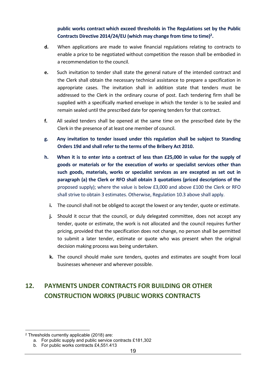**public works contract which exceed thresholds in The Regulations set by the Public Contracts Directive 2014/24/EU (which may change from time to time)<sup>2</sup> .**

- **d.** When applications are made to waive financial regulations relating to contracts to enable a price to be negotiated without competition the reason shall be embodied in a recommendation to the council.
- **e.** Such invitation to tender shall state the general nature of the intended contract and the Clerk shall obtain the necessary technical assistance to prepare a specification in appropriate cases. The invitation shall in addition state that tenders must be addressed to the Clerk in the ordinary course of post. Each tendering firm shall be supplied with a specifically marked envelope in which the tender is to be sealed and remain sealed until the prescribed date for opening tenders for that contract.
- **f.** All sealed tenders shall be opened at the same time on the prescribed date by the Clerk in the presence of at least one member of council.
- **g. Any invitation to tender issued under this regulation shall be subject to Standing Orders 19d and shall refer to the terms of the Bribery Act 2010.**
- **h. When it is to enter into a contract of less than £25,000 in value for the supply of goods or materials or for the execution of works or specialist services other than such goods, materials, works or specialist services as are excepted as set out in paragraph (a) the Clerk or RFO shall obtain 3 quotations (priced descriptions of the**  proposed supply); where the value is below £3,000 and above £100 the Clerk or RFO shall strive to obtain 3 estimates. Otherwise, Regulation 10.3 above shall apply.
	- **i.** The council shall not be obliged to accept the lowest or any tender, quote or estimate.
	- **j.** Should it occur that the council, or duly delegated committee, does not accept any tender, quote or estimate, the work is not allocated and the council requires further pricing, provided that the specification does not change, no person shall be permitted to submit a later tender, estimate or quote who was present when the original decision making process was being undertaken.
	- **k.** The council should make sure tenders, quotes and estimates are sought from local businesses whenever and wherever possible.

# <span id="page-18-0"></span>**12. PAYMENTS UNDER CONTRACTS FOR BUILDING OR OTHER CONSTRUCTION WORKS (PUBLIC WORKS CONTRACTS**

<sup>2</sup> Thresholds currently applicable (2018) are:

a. For public supply and public service contracts £181,302

b. For public works contracts £4,551.413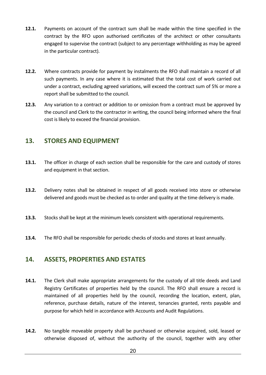- **12.1.** Payments on account of the contract sum shall be made within the time specified in the contract by the RFO upon authorised certificates of the architect or other consultants engaged to supervise the contract (subject to any percentage withholding as may be agreed in the particular contract).
- **12.2.** Where contracts provide for payment by instalments the RFO shall maintain a record of all such payments. In any case where it is estimated that the total cost of work carried out under a contract, excluding agreed variations, will exceed the contract sum of 5% or more a report shall be submitted to the council.
- **12.3.** Any variation to a contract or addition to or omission from a contract must be approved by the council and Clerk to the contractor in writing, the council being informed where the final cost is likely to exceed the financial provision.

# <span id="page-19-0"></span>**13. STORES AND EQUIPMENT**

- **13.1.** The officer in charge of each section shall be responsible for the care and custody of stores and equipment in that section.
- **13.2.** Delivery notes shall be obtained in respect of all goods received into store or otherwise delivered and goods must be checked as to order and quality at the time delivery is made.
- **13.3.** Stocks shall be kept at the minimum levels consistent with operational requirements.
- **13.4.** The RFO shall be responsible for periodic checks of stocks and stores at least annually.

# <span id="page-19-1"></span>**14. ASSETS, PROPERTIES AND ESTATES**

- **14.1.** The Clerk shall make appropriate arrangements for the custody of all title deeds and Land Registry Certificates of properties held by the council. The RFO shall ensure a record is maintained of all properties held by the council, recording the location, extent, plan, reference, purchase details, nature of the interest, tenancies granted, rents payable and purpose for which held in accordance with Accounts and Audit Regulations.
- **14.2.** No tangible moveable property shall be purchased or otherwise acquired, sold, leased or otherwise disposed of, without the authority of the council, together with any other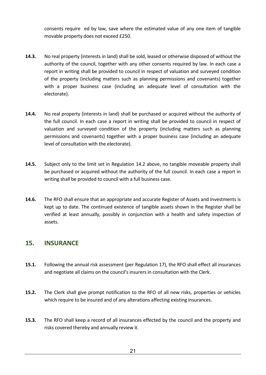consents require ed by law, save where the estimated value of any one item of tangible movable property does not exceed £250.

- **14.3.** No real property (interests in land) shall be sold, leased or otherwise disposed of without the authority of the council, together with any other consents required by law. In each case a report in writing shall be provided to council in respect of valuation and surveyed condition of the property (including matters such as planning permissions and covenants) together with a proper business case (including an adequate level of consultation with the electorate).
- **14.4.** No real property (interests in land) shall be purchased or acquired without the authority of the full council. In each case a report in writing shall be provided to council in respect of valuation and surveyed condition of the property (including matters such as planning permissions and covenants) together with a proper business case (including an adequate level of consultation with the electorate).
- **14.5.** Subject only to the limit set in Regulation 14.2 above, no tangible moveable property shall be purchased or acquired without the authority of the full council. In each case a report in writing shall be provided to council with a full business case.
- **14.6.** The RFO shall ensure that an appropriate and accurate Register of Assets and Investments is kept up to date. The continued existence of tangible assets shown in the Register shall be verified at least annually, possibly in conjunction with a health and safety inspection of assets.

# <span id="page-20-0"></span>**15. INSURANCE**

- **15.1.** Following the annual risk assessment (per Regulation 17), the RFO shall effect all insurances and negotiate all claims on the council's insurers in consultation with the Clerk.
- **15.2.** The Clerk shall give prompt notification to the RFO of all new risks, properties or vehicles which require to be insured and of any alterations affecting existing insurances.
- **15.3.** The RFO shall keep a record of all insurances effected by the council and the property and risks covered thereby and annually review it.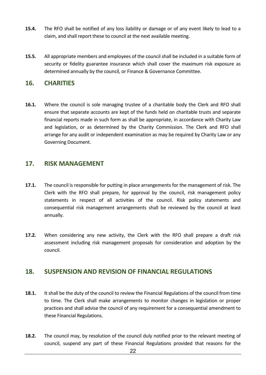- **15.4.** The RFO shall be notified of any loss liability or damage or of any event likely to lead to a claim, and shall report these to council at the next available meeting.
- **15.5.** All appropriate members and employees of the council shall be included in a suitable form of security or fidelity guarantee insurance which shall cover the maximum risk exposure as determined annually by the council, or Finance & Governance Committee.

#### <span id="page-21-0"></span>**16. CHARITIES**

**16.1.** Where the council is sole managing trustee of a charitable body the Clerk and RFO shall ensure that separate accounts are kept of the funds held on charitable trusts and separate financial reports made in such form as shall be appropriate, in accordance with Charity Law and legislation, or as determined by the Charity Commission. The Clerk and RFO shall arrange for any audit or independent examination as may be required by Charity Law or any Governing Document.

#### <span id="page-21-1"></span>**17. RISK MANAGEMENT**

- **17.1.** The council is responsible for putting in place arrangements for the management of risk. The Clerk with the RFO shall prepare, for approval by the council, risk management policy statements in respect of all activities of the council. Risk policy statements and consequential risk management arrangements shall be reviewed by the council at least annually.
- **17.2.** When considering any new activity, the Clerk with the RFO shall prepare a draft risk assessment including risk management proposals for consideration and adoption by the council.

#### <span id="page-21-2"></span>**18. SUSPENSION AND REVISION OF FINANCIAL REGULATIONS**

- **18.1.** It shall be the duty of the council to review the Financial Regulations of the council from time to time. The Clerk shall make arrangements to monitor changes in legislation or proper practices and shall advise the council of any requirement for a consequential amendment to these Financial Regulations.
- **18.2.** The council may, by resolution of the council duly notified prior to the relevant meeting of council, suspend any part of these Financial Regulations provided that reasons for the